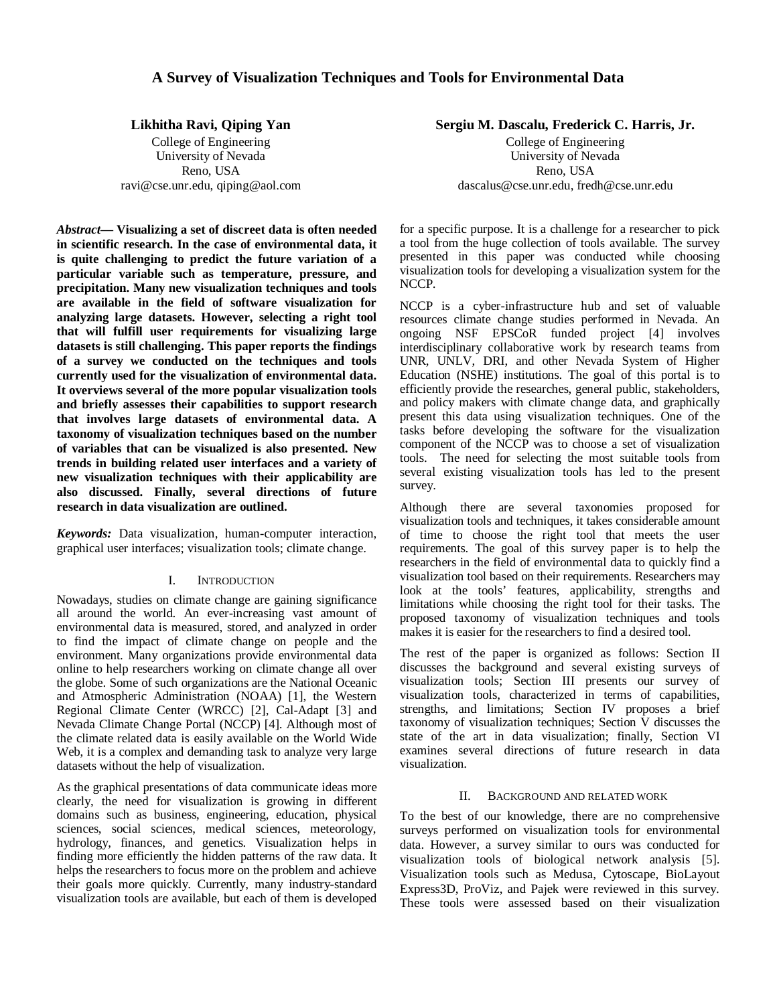# **A Survey of Visualization Techniques and Tools for Environmental Data**

**Likhitha Ravi, Qiping Yan**

College of Engineering University of Nevada Reno, USA ravi@cse.unr.edu, qiping@aol.com

*Abstract***— Visualizing a set of discreet data is often needed in scientific research. In the case of environmental data, it is quite challenging to predict the future variation of a particular variable such as temperature, pressure, and precipitation. Many new visualization techniques and tools are available in the field of software visualization for analyzing large datasets. However, selecting a right tool that will fulfill user requirements for visualizing large datasets is still challenging. This paper reports the findings of a survey we conducted on the techniques and tools currently used for the visualization of environmental data. It overviews several of the more popular visualization tools and briefly assesses their capabilities to support research that involves large datasets of environmental data. A taxonomy of visualization techniques based on the number of variables that can be visualized is also presented. New trends in building related user interfaces and a variety of new visualization techniques with their applicability are also discussed. Finally, several directions of future research in data visualization are outlined.**

*Keywords:* Data visualization, human-computer interaction, graphical user interfaces; visualization tools; climate change.

## I. INTRODUCTION

Nowadays, studies on climate change are gaining significance all around the world. An ever-increasing vast amount of environmental data is measured, stored, and analyzed in order to find the impact of climate change on people and the environment. Many organizations provide environmental data online to help researchers working on climate change all over the globe. Some of such organizations are the National Oceanic and Atmospheric Administration (NOAA) [1], the Western Regional Climate Center (WRCC) [2], Cal-Adapt [3] and Nevada Climate Change Portal (NCCP) [4]. Although most of the climate related data is easily available on the World Wide Web, it is a complex and demanding task to analyze very large datasets without the help of visualization.

As the graphical presentations of data communicate ideas more clearly, the need for visualization is growing in different domains such as business, engineering, education, physical sciences, social sciences, medical sciences, meteorology, hydrology, finances, and genetics. Visualization helps in finding more efficiently the hidden patterns of the raw data. It helps the researchers to focus more on the problem and achieve their goals more quickly. Currently, many industry-standard visualization tools are available, but each of them is developed

**Sergiu M. Dascalu, Frederick C. Harris, Jr.**

College of Engineering University of Nevada Reno, USA dascalus@cse.unr.edu, fredh@cse.unr.edu

for a specific purpose. It is a challenge for a researcher to pick a tool from the huge collection of tools available. The survey presented in this paper was conducted while choosing visualization tools for developing a visualization system for the NCCP.

NCCP is a cyber-infrastructure hub and set of valuable resources climate change studies performed in Nevada. An ongoing NSF EPSCoR funded project [4] involves interdisciplinary collaborative work by research teams from UNR, UNLV, DRI, and other Nevada System of Higher Education (NSHE) institutions. The goal of this portal is to efficiently provide the researches, general public, stakeholders, and policy makers with climate change data, and graphically present this data using visualization techniques. One of the tasks before developing the software for the visualization component of the NCCP was to choose a set of visualization tools. The need for selecting the most suitable tools from several existing visualization tools has led to the present survey.

Although there are several taxonomies proposed for visualization tools and techniques, it takes considerable amount of time to choose the right tool that meets the user requirements. The goal of this survey paper is to help the researchers in the field of environmental data to quickly find a visualization tool based on their requirements. Researchers may look at the tools' features, applicability, strengths and limitations while choosing the right tool for their tasks. The proposed taxonomy of visualization techniques and tools makes it is easier for the researchers to find a desired tool.

The rest of the paper is organized as follows: Section II discusses the background and several existing surveys of visualization tools; Section III presents our survey of visualization tools, characterized in terms of capabilities, strengths, and limitations; Section IV proposes a brief taxonomy of visualization techniques; Section V discusses the state of the art in data visualization; finally, Section VI examines several directions of future research in data visualization.

#### II. BACKGROUND AND RELATED WORK

To the best of our knowledge, there are no comprehensive surveys performed on visualization tools for environmental data. However, a survey similar to ours was conducted for visualization tools of biological network analysis [5]. Visualization tools such as Medusa, Cytoscape, BioLayout Express3D, ProViz, and Pajek were reviewed in this survey. These tools were assessed based on their visualization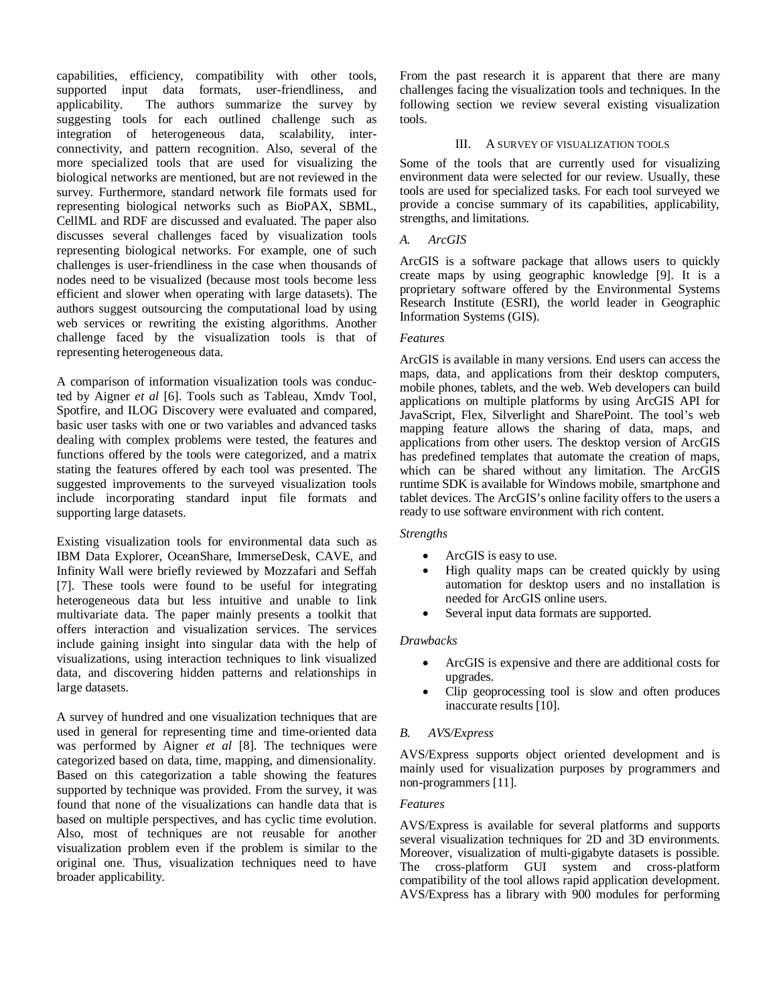capabilities, efficiency, compatibility with other tools, supported input data formats, user-friendliness, and applicability. The authors summarize the survey by suggesting tools for each outlined challenge such as integration of heterogeneous data, scalability, interconnectivity, and pattern recognition. Also, several of the more specialized tools that are used for visualizing the biological networks are mentioned, but are not reviewed in the survey. Furthermore, standard network file formats used for representing biological networks such as BioPAX, SBML, CellML and RDF are discussed and evaluated. The paper also discusses several challenges faced by visualization tools representing biological networks. For example, one of such challenges is user-friendliness in the case when thousands of nodes need to be visualized (because most tools become less efficient and slower when operating with large datasets). The authors suggest outsourcing the computational load by using web services or rewriting the existing algorithms. Another challenge faced by the visualization tools is that of representing heterogeneous data.

A comparison of information visualization tools was conducted by Aigner *et al* [6]. Tools such as Tableau, Xmdv Tool, Spotfire, and ILOG Discovery were evaluated and compared, basic user tasks with one or two variables and advanced tasks dealing with complex problems were tested, the features and functions offered by the tools were categorized, and a matrix stating the features offered by each tool was presented. The suggested improvements to the surveyed visualization tools include incorporating standard input file formats and supporting large datasets.

Existing visualization tools for environmental data such as IBM Data Explorer, OceanShare, ImmerseDesk, CAVE, and Infinity Wall were briefly reviewed by Mozzafari and Seffah [7]. These tools were found to be useful for integrating heterogeneous data but less intuitive and unable to link multivariate data. The paper mainly presents a toolkit that offers interaction and visualization services. The services include gaining insight into singular data with the help of visualizations, using interaction techniques to link visualized data, and discovering hidden patterns and relationships in large datasets.

A survey of hundred and one visualization techniques that are used in general for representing time and time-oriented data was performed by Aigner *et al* [8]. The techniques were categorized based on data, time, mapping, and dimensionality. Based on this categorization a table showing the features supported by technique was provided. From the survey, it was found that none of the visualizations can handle data that is based on multiple perspectives, and has cyclic time evolution. Also, most of techniques are not reusable for another visualization problem even if the problem is similar to the original one. Thus, visualization techniques need to have broader applicability.

From the past research it is apparent that there are many challenges facing the visualization tools and techniques. In the following section we review several existing visualization tools.

## III. A SURVEY OF VISUALIZATION TOOLS

Some of the tools that are currently used for visualizing environment data were selected for our review. Usually, these tools are used for specialized tasks. For each tool surveyed we provide a concise summary of its capabilities, applicability, strengths, and limitations.

## *A. ArcGIS*

ArcGIS is a software package that allows users to quickly create maps by using geographic knowledge [9]. It is a proprietary software offered by the Environmental Systems Research Institute (ESRI), the world leader in Geographic Information Systems (GIS).

## *Features*

ArcGIS is available in many versions. End users can access the maps, data, and applications from their desktop computers, mobile phones, tablets, and the web. Web developers can build applications on multiple platforms by using ArcGIS API for JavaScript, Flex, Silverlight and SharePoint. The tool's web mapping feature allows the sharing of data, maps, and applications from other users. The desktop version of ArcGIS has predefined templates that automate the creation of maps, which can be shared without any limitation. The ArcGIS runtime SDK is available for Windows mobile, smartphone and tablet devices. The ArcGIS's online facility offers to the users a ready to use software environment with rich content.

## *Strengths*

- ArcGIS is easy to use.
- High quality maps can be created quickly by using automation for desktop users and no installation is needed for ArcGIS online users.
- Several input data formats are supported.

## *Drawbacks*

- ArcGIS is expensive and there are additional costs for upgrades.
- Clip geoprocessing tool is slow and often produces inaccurate results [10].

## *B. AVS/Express*

AVS/Express supports object oriented development and is mainly used for visualization purposes by programmers and non-programmers [11].

### *Features*

AVS/Express is available for several platforms and supports several visualization techniques for 2D and 3D environments. Moreover, visualization of multi-gigabyte datasets is possible. The cross-platform GUI system and cross-platform compatibility of the tool allows rapid application development. AVS/Express has a library with 900 modules for performing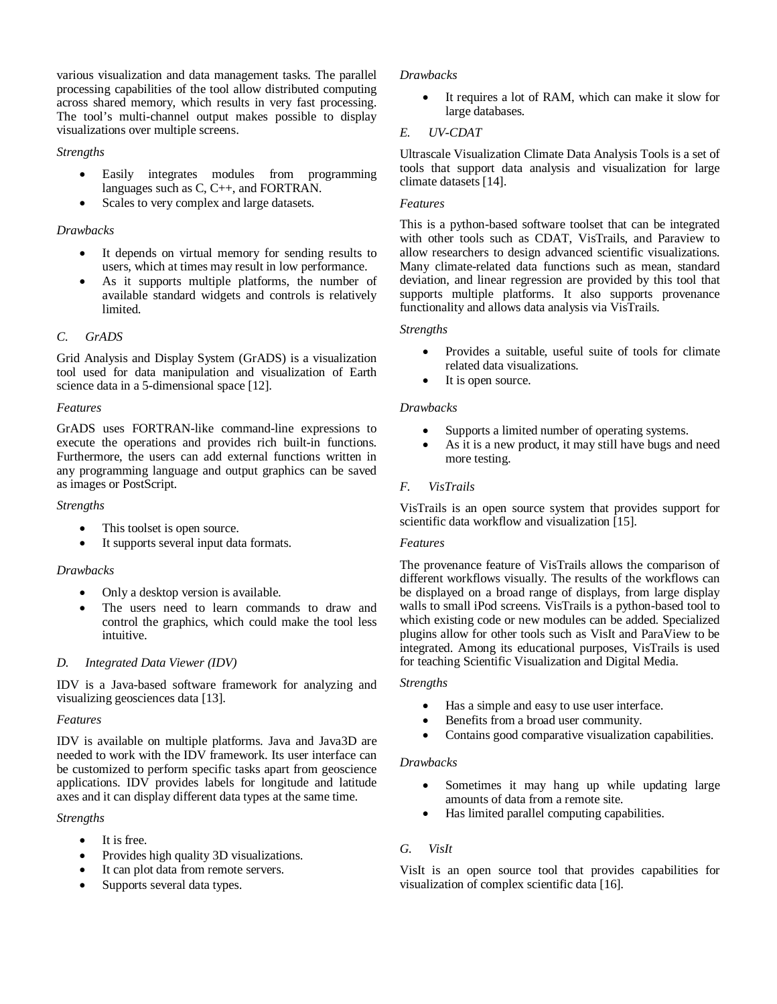various visualization and data management tasks. The parallel processing capabilities of the tool allow distributed computing across shared memory, which results in very fast processing. The tool's multi-channel output makes possible to display visualizations over multiple screens.

## *Strengths*

- Easily integrates modules from programming languages such as C, C++, and FORTRAN.
- Scales to very complex and large datasets.

## *Drawbacks*

- It depends on virtual memory for sending results to users, which at times may result in low performance.
- As it supports multiple platforms, the number of available standard widgets and controls is relatively limited.

### *C. GrADS*

Grid Analysis and Display System (GrADS) is a visualization tool used for data manipulation and visualization of Earth science data in a 5-dimensional space [12].

### *Features*

GrADS uses FORTRAN-like command-line expressions to execute the operations and provides rich built-in functions. Furthermore, the users can add external functions written in any programming language and output graphics can be saved as images or PostScript.

### *Strengths*

- This toolset is open source.
- It supports several input data formats.

## *Drawbacks*

- Only a desktop version is available.
- The users need to learn commands to draw and control the graphics, which could make the tool less intuitive.

## *D. Integrated Data Viewer (IDV)*

IDV is a Java-based software framework for analyzing and visualizing geosciences data [13].

### *Features*

IDV is available on multiple platforms. Java and Java3D are needed to work with the IDV framework. Its user interface can be customized to perform specific tasks apart from geoscience applications. IDV provides labels for longitude and latitude axes and it can display different data types at the same time.

### *Strengths*

- $\bullet$  It is free.
- Provides high quality 3D visualizations.
- It can plot data from remote servers.
- Supports several data types.

### *Drawbacks*

 It requires a lot of RAM, which can make it slow for large databases.

## *E. UV-CDAT*

Ultrascale Visualization Climate Data Analysis Tools is a set of tools that support data analysis and visualization for large climate datasets [14].

### *Features*

This is a python-based software toolset that can be integrated with other tools such as CDAT, VisTrails, and Paraview to allow researchers to design advanced scientific visualizations. Many climate-related data functions such as mean, standard deviation, and linear regression are provided by this tool that supports multiple platforms. It also supports provenance functionality and allows data analysis via VisTrails.

### *Strengths*

- Provides a suitable, useful suite of tools for climate related data visualizations.
- It is open source.

### *Drawbacks*

- Supports a limited number of operating systems.
- As it is a new product, it may still have bugs and need more testing.

## *F. VisTrails*

VisTrails is an open source system that provides support for scientific data workflow and visualization [15].

## *Features*

The provenance feature of VisTrails allows the comparison of different workflows visually. The results of the workflows can be displayed on a broad range of displays, from large display walls to small iPod screens. VisTrails is a python-based tool to which existing code or new modules can be added. Specialized plugins allow for other tools such as VisIt and ParaView to be integrated. Among its educational purposes, VisTrails is used for teaching Scientific Visualization and Digital Media.

### *Strengths*

- Has a simple and easy to use user interface.
- Benefits from a broad user community.
- Contains good comparative visualization capabilities.

### *Drawbacks*

- Sometimes it may hang up while updating large amounts of data from a remote site.
- Has limited parallel computing capabilities.

## *G. VisIt*

VisIt is an open source tool that provides capabilities for visualization of complex scientific data [16].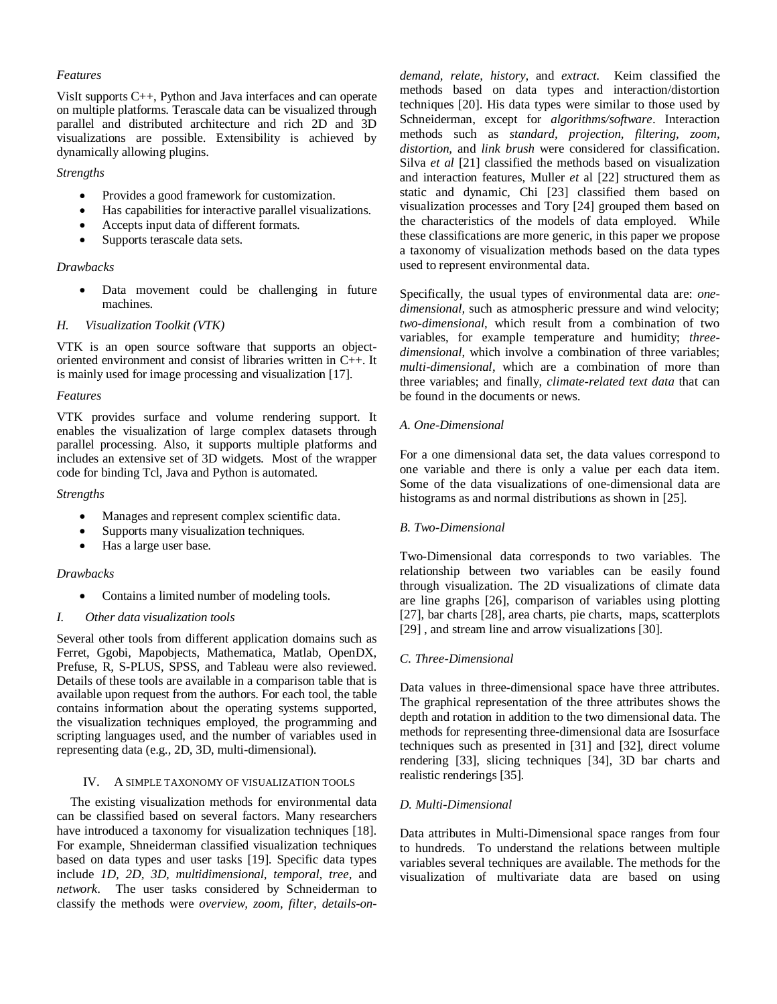### *Features*

VisIt supports C++, Python and Java interfaces and can operate on multiple platforms. Terascale data can be visualized through parallel and distributed architecture and rich 2D and 3D visualizations are possible. Extensibility is achieved by dynamically allowing plugins.

# *Strengths*

- Provides a good framework for customization.
- Has capabilities for interactive parallel visualizations.
- Accepts input data of different formats.
- Supports terascale data sets.

## *Drawbacks*

 Data movement could be challenging in future machines.

## *H. Visualization Toolkit (VTK)*

VTK is an open source software that supports an objectoriented environment and consist of libraries written in C++. It is mainly used for image processing and visualization [17].

## *Features*

VTK provides surface and volume rendering support. It enables the visualization of large complex datasets through parallel processing. Also, it supports multiple platforms and includes an extensive set of 3D widgets. Most of the wrapper code for binding Tcl, Java and Python is automated.

## *Strengths*

- Manages and represent complex scientific data.
- Supports many visualization techniques.
- Has a large user base.

## *Drawbacks*

Contains a limited number of modeling tools.

## *I. Other data visualization tools*

Several other tools from different application domains such as Ferret, Ggobi, Mapobjects, Mathematica, Matlab, OpenDX, Prefuse, R, S-PLUS, SPSS, and Tableau were also reviewed. Details of these tools are available in a comparison table that is available upon request from the authors. For each tool, the table contains information about the operating systems supported, the visualization techniques employed, the programming and scripting languages used, and the number of variables used in representing data (e.g., 2D, 3D, multi-dimensional).

## IV. A SIMPLE TAXONOMY OF VISUALIZATION TOOLS

The existing visualization methods for environmental data can be classified based on several factors. Many researchers have introduced a taxonomy for visualization techniques [18]. For example, Shneiderman classified visualization techniques based on data types and user tasks [19]. Specific data types include *1D, 2D, 3D, multidimensional, temporal, tree,* and *network*. The user tasks considered by Schneiderman to classify the methods were *overview, zoom, filter, details-on-* *demand, relate, history,* and *extract*. Keim classified the methods based on data types and interaction/distortion techniques [20]. His data types were similar to those used by Schneiderman, except for *algorithms/software*. Interaction methods such as *standard, projection, filtering, zoom, distortion,* and *link brush* were considered for classification. Silva *et al* [21] classified the methods based on visualization and interaction features, Muller *et* al [22] structured them as static and dynamic, Chi [23] classified them based on visualization processes and Tory [24] grouped them based on the characteristics of the models of data employed. While these classifications are more generic, in this paper we propose a taxonomy of visualization methods based on the data types used to represent environmental data.

Specifically, the usual types of environmental data are: *onedimensional,* such as atmospheric pressure and wind velocity; *two-dimensional*, which result from a combination of two variables, for example temperature and humidity; *threedimensional*, which involve a combination of three variables; *multi-dimensional*, which are a combination of more than three variables; and finally, *climate-related text data* that can be found in the documents or news.

# *A. One-Dimensional*

For a one dimensional data set, the data values correspond to one variable and there is only a value per each data item. Some of the data visualizations of one-dimensional data are histograms as and normal distributions as shown in [25].

## *B. Two-Dimensional*

Two-Dimensional data corresponds to two variables. The relationship between two variables can be easily found through visualization. The 2D visualizations of climate data are line graphs [26], comparison of variables using plotting [27], bar charts [28], area charts, pie charts, maps, scatterplots [29], and stream line and arrow visualizations [30].

## *C. Three-Dimensional*

Data values in three-dimensional space have three attributes. The graphical representation of the three attributes shows the depth and rotation in addition to the two dimensional data. The methods for representing three-dimensional data are Isosurface techniques such as presented in [31] and [32], direct volume rendering [33], slicing techniques [34], 3D bar charts and realistic renderings [35].

## *D. Multi-Dimensional*

Data attributes in Multi-Dimensional space ranges from four to hundreds. To understand the relations between multiple variables several techniques are available. The methods for the visualization of multivariate data are based on using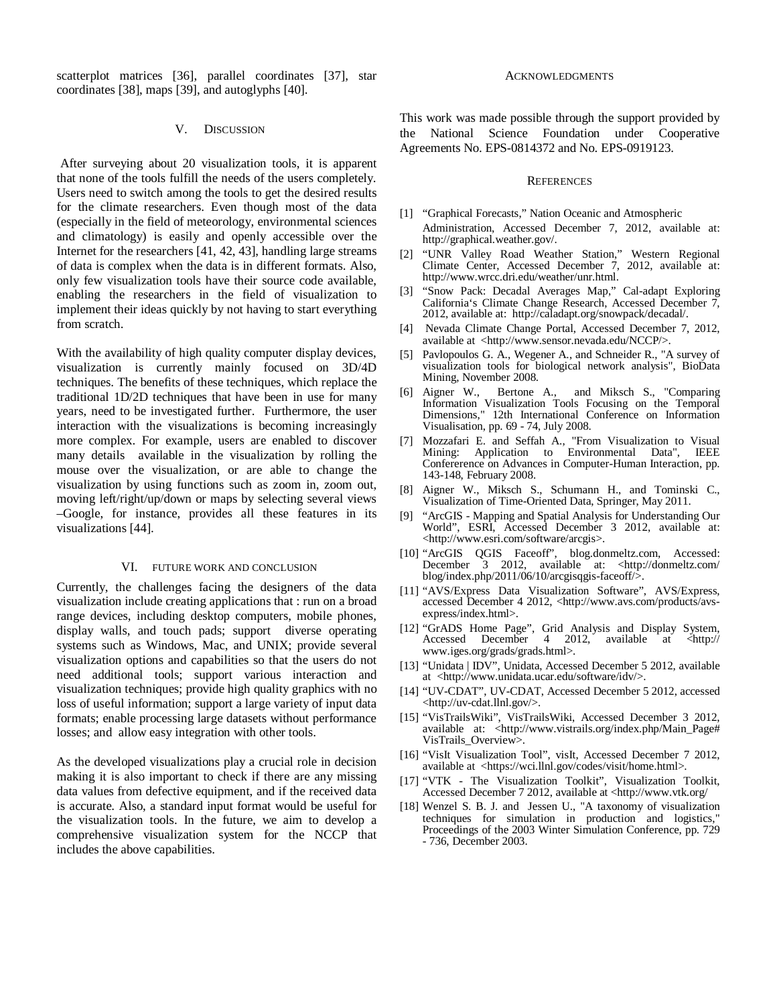scatterplot matrices [36], parallel coordinates [37], star coordinates [38], maps [39], and autoglyphs [40].

### V. DISCUSSION

After surveying about 20 visualization tools, it is apparent that none of the tools fulfill the needs of the users completely. Users need to switch among the tools to get the desired results for the climate researchers. Even though most of the data (especially in the field of meteorology, environmental sciences and climatology) is easily and openly accessible over the Internet for the researchers [41, 42, 43], handling large streams of data is complex when the data is in different formats. Also, only few visualization tools have their source code available, enabling the researchers in the field of visualization to implement their ideas quickly by not having to start everything from scratch.

With the availability of high quality computer display devices, visualization is currently mainly focused on 3D/4D techniques. The benefits of these techniques, which replace the traditional 1D/2D techniques that have been in use for many years, need to be investigated further. Furthermore, the user interaction with the visualizations is becoming increasingly more complex. For example, users are enabled to discover many details available in the visualization by rolling the mouse over the visualization, or are able to change the visualization by using functions such as zoom in, zoom out, moving left/right/up/down or maps by selecting several views –Google, for instance, provides all these features in its visualizations [44].

### VI. FUTURE WORK AND CONCLUSION

Currently, the challenges facing the designers of the data visualization include creating applications that : run on a broad range devices, including desktop computers, mobile phones, display walls, and touch pads; support diverse operating systems such as Windows, Mac, and UNIX; provide several visualization options and capabilities so that the users do not need additional tools; support various interaction and visualization techniques; provide high quality graphics with no loss of useful information; support a large variety of input data formats; enable processing large datasets without performance losses; and allow easy integration with other tools.

As the developed visualizations play a crucial role in decision making it is also important to check if there are any missing data values from defective equipment, and if the received data is accurate. Also, a standard input format would be useful for the visualization tools. In the future, we aim to develop a comprehensive visualization system for the NCCP that includes the above capabilities.

#### ACKNOWLEDGMENTS

This work was made possible through the support provided by the National Science Foundation under Cooperative Agreements No. EPS-0814372 and No. EPS-0919123.

#### **REFERENCES**

- [1] "Graphical Forecasts," Nation Oceanic and Atmospheric Administration, Accessed December 7, 2012, available at: http://graphical.weather.gov/.
- [2] "UNR Valley Road Weather Station," Western Regional Climate Center, Accessed December 7, 2012, available at: http://www.wrcc.dri.edu/weather/unr.html.
- [3] "Snow Pack: Decadal Averages Map," Cal-adapt Exploring California's Climate Change Research, Accessed December 7, 2012, available at: http://caladapt.org/snowpack/decadal/.
- [4] Nevada Climate Change Portal, Accessed December 7, 2012, available at <http://www.sensor.nevada.edu/NCCP/>.
- [5] Pavlopoulos G. A., Wegener A., and Schneider R., "A survey of visualization tools for biological network analysis", BioData Mining, November 2008.
- [6] Aigner W., Bertone A., and Miksch S., "Comparing Information Visualization Tools Focusing on the Temporal Dimensions," 12th International Conference on Information Visualisation, pp. 69 - 74, July 2008.
- [7] Mozzafari E. and Seffah A., "From Visualization to Visual Mining: Application to Environmental Data", IEEE Confererence on Advances in Computer-Human Interaction, pp. 143-148, February 2008.
- [8] Aigner W., Miksch S., Schumann H., and Tominski C., Visualization of Time-Oriented Data, Springer, May 2011.
- [9] "ArcGIS Mapping and Spatial Analysis for Understanding Our World", ESRI, Accessed December 3 2012, available at: <http://www.esri.com/software/arcgis>.
- [10] "ArcGIS QGIS Faceoff", blog.donmeltz.com, Accessed: December 3 2012, available at: <http://donmeltz.com/ blog/index.php/2011/06/10/arcgisqgis-faceoff/>.
- [11] "AVS/Express Data Visualization Software", AVS/Express, accessed December 4 2012, <http://www.avs.com/products/avsexpress/index.html>.
- [12] "GrADS Home Page", Grid Analysis and Display System, Accessed December 4 2012, available at <http:// www.iges.org/grads/grads.html>.
- [13] "Unidata | IDV", Unidata, Accessed December 5 2012, available at <http://www.unidata.ucar.edu/software/idv/>.
- [14] "UV-CDAT", UV-CDAT, Accessed December 5 2012, accessed <http://uv-cdat.llnl.gov/>.
- [15] "VisTrailsWiki", VisTrailsWiki, Accessed December 3 2012, available at: <http://www.vistrails.org/index.php/Main\_Page# VisTrails\_Overview>.
- [16] "VisIt Visualization Tool", visIt, Accessed December 7 2012, available at <https://wci.llnl.gov/codes/visit/home.html>.
- [17] "VTK The Visualization Toolkit", Visualization Toolkit, Accessed December 7 2012, available at <http://www.vtk.org/
- [18] Wenzel S. B. J. and Jessen U., "A taxonomy of visualization techniques for simulation in production and logistics," Proceedings of the 2003 Winter Simulation Conference, pp. 729 - 736, December 2003.